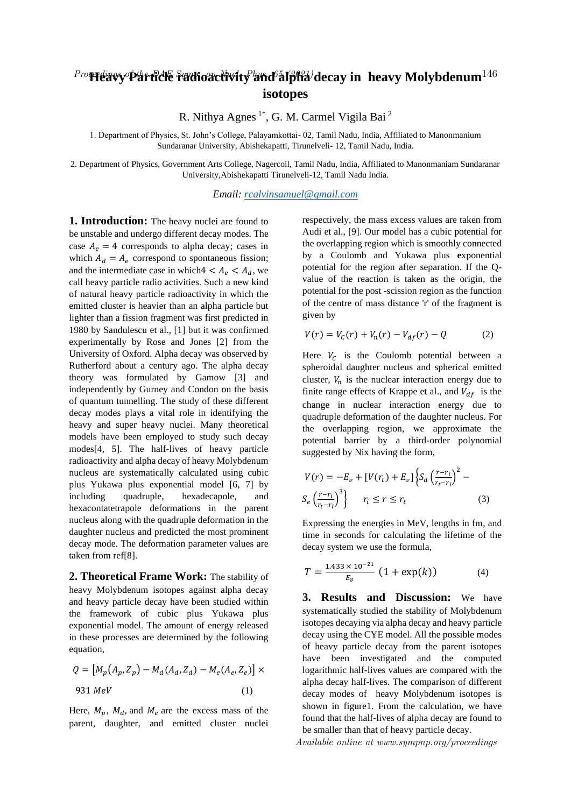## ${}^{Prop}$ Heavy Particle radioactivity and  $\tilde{\bf a}$ Ipha/decay in heavy Molybdenum $^{146}$ **isotopes**

R. Nithya Agnes 1\*, G. M. Carmel Vigila Bai <sup>2</sup>

1. Department of Physics, St. John's College, Palayamkottai- 02, Tamil Nadu, India, Affiliated to Manonmanium Sundaranar University, Abishekapatti, Tirunelveli- 12, Tamil Nadu, India.

2. Department of Physics, Government Arts College, Nagercoil, Tamil Nadu, India, Affiliated to Manonmaniam Sundaranar University,Abishekapatti Tirunelveli-12, Tamil Nadu India.

*Email: rcalvinsamuel@gmail.com*

**1. Introduction:** The heavy nuclei are found to be unstable and undergo different decay modes. The case  $A_e = 4$  corresponds to alpha decay; cases in which  $A_d = A_e$  correspond to spontaneous fission; and the intermediate case in which  $4 < A_{\rho} < A_{d}$ , we call heavy particle radio activities. Such a new kind of natural heavy particle radioactivity in which the emitted cluster is heavier than an alpha particle but lighter than a fission fragment was first predicted in 1980 by Sandulescu et al., [1] but it was confirmed experimentally by Rose and Jones [2] from the University of Oxford. Alpha decay was observed by Rutherford about a century ago. The alpha decay theory was formulated by Gamow [3] and independently by Gurney and Condon on the basis of quantum tunnelling. The study of these different decay modes plays a vital role in identifying the heavy and super heavy nuclei. Many theoretical models have been employed to study such decay modes[4, 5]. The half-lives of heavy particle radioactivity and alpha decay of heavy Molybdenum nucleus are systematically calculated using cubic plus Yukawa plus exponential model [6, 7] by including quadruple, hexadecapole, and hexacontatetrapole deformations in the parent nucleus along with the quadruple deformation in the daughter nucleus and predicted the most prominent decay mode. The deformation parameter values are taken from ref[8].

**2. Theoretical Frame Work:** The stability of heavy Molybdenum isotopes against alpha decay and heavy particle decay have been studied within the framework of cubic plus Yukawa plus exponential model. The amount of energy released in these processes are determined by the following equation,

$$
Q = [M_p(A_p, Z_p) - M_d(A_d, Z_d) - M_e(A_e, Z_e)] \times
$$
  
931 MeV (1)

Here,  $M_p$ ,  $M_d$ , and  $M_e$  are the excess mass of the parent, daughter, and emitted cluster nuclei

respectively, the mass excess values are taken from Audi et al., [9]. Our model has a cubic potential for the overlapping region which is smoothly connected by a Coulomb and Yukawa plus **e**xponential potential for the region after separation. If the Qvalue of the reaction is taken as the origin, the potential for the post -scission region as the function of the centre of mass distance 'r' of the fragment is given by

$$
V(r) = V_c(r) + V_n(r) - V_{df}(r) - Q \tag{2}
$$

Here  $V_c$  is the Coulomb potential between a spheroidal daughter nucleus and spherical emitted cluster,  $V_n$  is the nuclear interaction energy due to finite range effects of Krappe et al., and  $V_{df}$  is the change in nuclear interaction energy due to quadruple deformation of the daughter nucleus. For the overlapping region, we approximate the potential barrier by a third-order polynomial suggested by Nix having the form,

$$
V(r) = -E_v + [V(r_t) + E_v] \left\{ S_d \left( \frac{r - r_i}{r_t - r_i} \right)^2 - S_e \left( \frac{r - r_i}{r_t - r_i} \right)^3 \right\}
$$
  

$$
r_i \le r \le r_t
$$
 (3)

Expressing the energies in MeV, lengths in fm, and time in seconds for calculating the lifetime of the decay system we use the formula,

$$
T = \frac{1.433 \times 10^{-21}}{E_v} \left( 1 + \exp(k) \right) \tag{4}
$$

**3. Results and Discussion:** We have systematically studied the stability of Molybdenum isotopes decaying via alpha decay and heavy particle decay using the CYE model. All the possible modes of heavy particle decay from the parent isotopes have been investigated and the computed logarithmic half-lives values are compared with the alpha decay half-lives. The comparison of different decay modes of heavy Molybdenum isotopes is shown in figure1. From the calculation, we have found that the half-lives of alpha decay are found to be smaller than that of heavy particle decay.

Available online at www.sympnp.org/proceedings